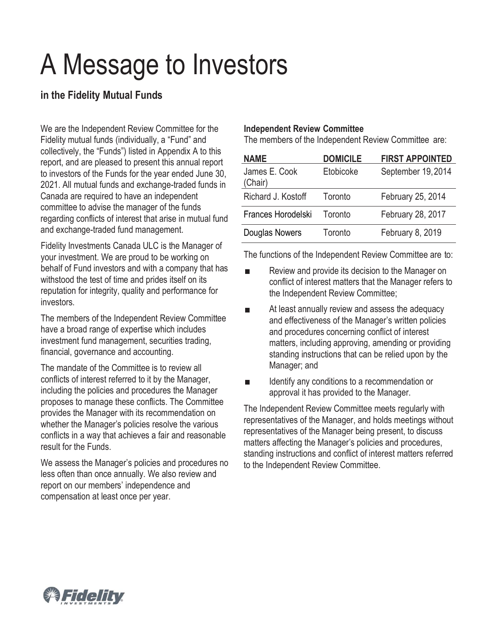# A Message to Investors

## **in the Fidelity Mutual Funds**

We are the Independent Review Committee for the Fidelity mutual funds (individually, a "Fund" and collectively, the "Funds") listed in Appendix A to this report, and are pleased to present this annual report to investors of the Funds for the year ended June 30, 2021. All mutual funds and exchange-traded funds in Canada are required to have an independent committee to advise the manager of the funds regarding conflicts of interest that arise in mutual fund and exchange-traded fund management.

Fidelity Investments Canada ULC is the Manager of your investment. We are proud to be working on behalf of Fund investors and with a company that has withstood the test of time and prides itself on its reputation for integrity, quality and performance for investors.

The members of the Independent Review Committee have a broad range of expertise which includes investment fund management, securities trading, financial, governance and accounting.

The mandate of the Committee is to review all conflicts of interest referred to it by the Manager, including the policies and procedures the Manager proposes to manage these conflicts. The Committee provides the Manager with its recommendation on whether the Manager's policies resolve the various conflicts in a way that achieves a fair and reasonable result for the Funds.

We assess the Manager's policies and procedures no less often than once annually. We also review and report on our members' independence and compensation at least once per year.

## **Independent Review Committee**

The members of the Independent Review Committee are:

| <b>NAME</b>              | <b>DOMICILE</b> | <b>FIRST APPOINTED</b> |
|--------------------------|-----------------|------------------------|
| James E. Cook<br>(Chair) | Etobicoke       | September 19, 2014     |
| Richard J. Kostoff       | Toronto         | February 25, 2014      |
| Frances Horodelski       | Toronto         | February 28, 2017      |
| Douglas Nowers           | Toronto         | February 8, 2019       |

The functions of the Independent Review Committee are to:

- Review and provide its decision to the Manager on  $\blacksquare$ conflict of interest matters that the Manager refers to the Independent Review Committee;
- At least annually review and assess the adequacy  $\overline{\phantom{a}}$ and effectiveness of the Manager's written policies and procedures concerning conflict of interest matters, including approving, amending or providing standing instructions that can be relied upon by the Manager; and
- $\blacksquare$ Identify any conditions to a recommendation or approval it has provided to the Manager.

The Independent Review Committee meets regularly with representatives of the Manager, and holds meetings without representatives of the Manager being present, to discuss matters affecting the Manager's policies and procedures, standing instructions and conflict of interest matters referred to the Independent Review Committee.

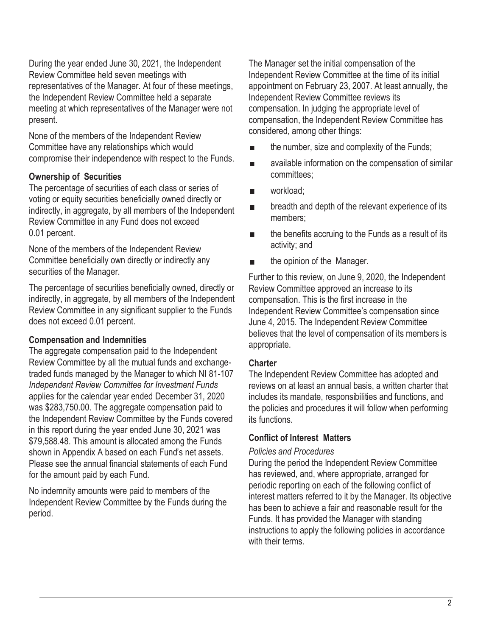During the year ended June 30, 2021, the Independent Review Committee held seven meetings with representatives of the Manager. At four of these meetings, the Independent Review Committee held a separate meeting at which representatives of the Manager were not present.

None of the members of the Independent Review Committee have any relationships which would compromise their independence with respect to the Funds.

## **Ownership of Securities**

The percentage of securities of each class or series of voting or equity securities beneficially owned directly or indirectly, in aggregate, by all members of the Independent Review Committee in any Fund does not exceed 0.01 percent.

None of the members of the Independent Review Committee beneficially own directly or indirectly any securities of the Manager.

The percentage of securities beneficially owned, directly or indirectly, in aggregate, by all members of the Independent Review Committee in any significant supplier to the Funds does not exceed 0.01 percent.

## **Compensation and Indemnities**

The aggregate compensation paid to the Independent Review Committee by all the mutual funds and exchangetraded funds managed by the Manager to which NI 81-107 *Independent Review Committee for Investment Funds* applies for the calendar year ended December 31, 2020 was \$283,750.00. The aggregate compensation paid to the Independent Review Committee by the Funds covered in this report during the year ended June 30, 2021 was \$79,588.48. This amount is allocated among the Funds shown in Appendix A based on each Fund's net assets. Please see the annual financial statements of each Fund for the amount paid by each Fund.

No indemnity amounts were paid to members of the Independent Review Committee by the Funds during the period.

The Manager set the initial compensation of the Independent Review Committee at the time of its initial appointment on February 23, 2007. At least annually, the Independent Review Committee reviews its compensation. In judging the appropriate level of compensation, the Independent Review Committee has considered, among other things:

- the number, size and complexity of the Funds;
- available information on the compensation of similar committees;
- workload;
- breadth and depth of the relevant experience of its members;
- the benefits accruing to the Funds as a result of its activity; and
- the opinion of the Manager.

Further to this review, on June 9, 2020, the Independent Review Committee approved an increase to its compensation. This is the first increase in the Independent Review Committee's compensation since June 4, 2015. The Independent Review Committee believes that the level of compensation of its members is appropriate.

## **Charter**

The Independent Review Committee has adopted and reviews on at least an annual basis, a written charter that includes its mandate, responsibilities and functions, and the policies and procedures it will follow when performing its functions.

## **Conflict of Interest Matters**

## *Policies and Procedures*

During the period the Independent Review Committee has reviewed, and, where appropriate, arranged for periodic reporting on each of the following conflict of interest matters referred to it by the Manager. Its objective has been to achieve a fair and reasonable result for the Funds. It has provided the Manager with standing instructions to apply the following policies in accordance with their terms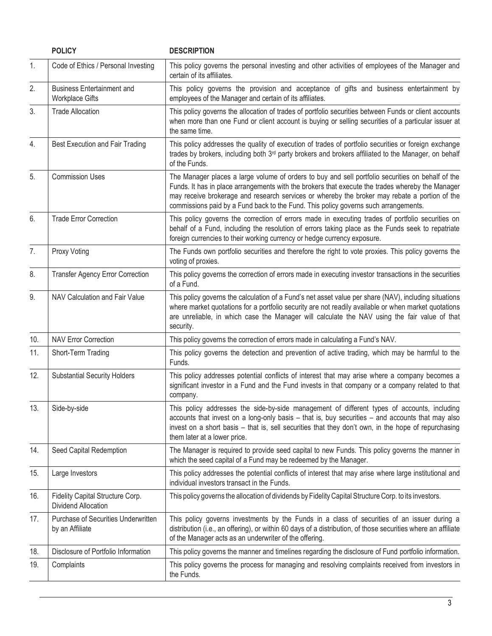|     | <b>POLICY</b>                                                  | <b>DESCRIPTION</b>                                                                                                                                                                                                                                                                                                                                                                            |  |
|-----|----------------------------------------------------------------|-----------------------------------------------------------------------------------------------------------------------------------------------------------------------------------------------------------------------------------------------------------------------------------------------------------------------------------------------------------------------------------------------|--|
| 1.  | Code of Ethics / Personal Investing                            | This policy governs the personal investing and other activities of employees of the Manager and<br>certain of its affiliates.                                                                                                                                                                                                                                                                 |  |
| 2.  | <b>Business Entertainment and</b><br><b>Workplace Gifts</b>    | This policy governs the provision and acceptance of gifts and business entertainment by<br>employees of the Manager and certain of its affiliates.                                                                                                                                                                                                                                            |  |
| 3.  | <b>Trade Allocation</b>                                        | This policy governs the allocation of trades of portfolio securities between Funds or client accounts<br>when more than one Fund or client account is buying or selling securities of a particular issuer at<br>the same time.                                                                                                                                                                |  |
| 4.  | Best Execution and Fair Trading                                | This policy addresses the quality of execution of trades of portfolio securities or foreign exchange<br>trades by brokers, including both 3 <sup>rd</sup> party brokers and brokers affiliated to the Manager, on behalf<br>of the Funds.                                                                                                                                                     |  |
| 5.  | <b>Commission Uses</b>                                         | The Manager places a large volume of orders to buy and sell portfolio securities on behalf of the<br>Funds. It has in place arrangements with the brokers that execute the trades whereby the Manager<br>may receive brokerage and research services or whereby the broker may rebate a portion of the<br>commissions paid by a Fund back to the Fund. This policy governs such arrangements. |  |
| 6.  | <b>Trade Error Correction</b>                                  | This policy governs the correction of errors made in executing trades of portfolio securities on<br>behalf of a Fund, including the resolution of errors taking place as the Funds seek to repatriate<br>foreign currencies to their working currency or hedge currency exposure.                                                                                                             |  |
| 7.  | Proxy Voting                                                   | The Funds own portfolio securities and therefore the right to vote proxies. This policy governs the<br>voting of proxies.                                                                                                                                                                                                                                                                     |  |
| 8.  | <b>Transfer Agency Error Correction</b>                        | This policy governs the correction of errors made in executing investor transactions in the securities<br>of a Fund.                                                                                                                                                                                                                                                                          |  |
| 9.  | NAV Calculation and Fair Value                                 | This policy governs the calculation of a Fund's net asset value per share (NAV), including situations<br>where market quotations for a portfolio security are not readily available or when market quotations<br>are unreliable, in which case the Manager will calculate the NAV using the fair value of that<br>security.                                                                   |  |
| 10. | <b>NAV Error Correction</b>                                    | This policy governs the correction of errors made in calculating a Fund's NAV.                                                                                                                                                                                                                                                                                                                |  |
| 11. | Short-Term Trading                                             | This policy governs the detection and prevention of active trading, which may be harmful to the<br>Funds.                                                                                                                                                                                                                                                                                     |  |
| 12. | <b>Substantial Security Holders</b>                            | This policy addresses potential conflicts of interest that may arise where a company becomes a<br>significant investor in a Fund and the Fund invests in that company or a company related to that<br>company.                                                                                                                                                                                |  |
| 13. | Side-by-side                                                   | This policy addresses the side-by-side management of different types of accounts, including<br>accounts that invest on a long-only basis - that is, buy securities - and accounts that may also<br>invest on a short basis - that is, sell securities that they don't own, in the hope of repurchasing<br>them later at a lower price.                                                        |  |
| 14. | Seed Capital Redemption                                        | The Manager is required to provide seed capital to new Funds. This policy governs the manner in<br>which the seed capital of a Fund may be redeemed by the Manager.                                                                                                                                                                                                                           |  |
| 15. | Large Investors                                                | This policy addresses the potential conflicts of interest that may arise where large institutional and<br>individual investors transact in the Funds.                                                                                                                                                                                                                                         |  |
| 16. | Fidelity Capital Structure Corp.<br><b>Dividend Allocation</b> | This policy governs the allocation of dividends by Fidelity Capital Structure Corp. to its investors.                                                                                                                                                                                                                                                                                         |  |
| 17. | Purchase of Securities Underwritten<br>by an Affiliate         | This policy governs investments by the Funds in a class of securities of an issuer during a<br>distribution (i.e., an offering), or within 60 days of a distribution, of those securities where an affiliate<br>of the Manager acts as an underwriter of the offering.                                                                                                                        |  |
| 18. | Disclosure of Portfolio Information                            | This policy governs the manner and timelines regarding the disclosure of Fund portfolio information.                                                                                                                                                                                                                                                                                          |  |
| 19. | Complaints                                                     | This policy governs the process for managing and resolving complaints received from investors in<br>the Funds.                                                                                                                                                                                                                                                                                |  |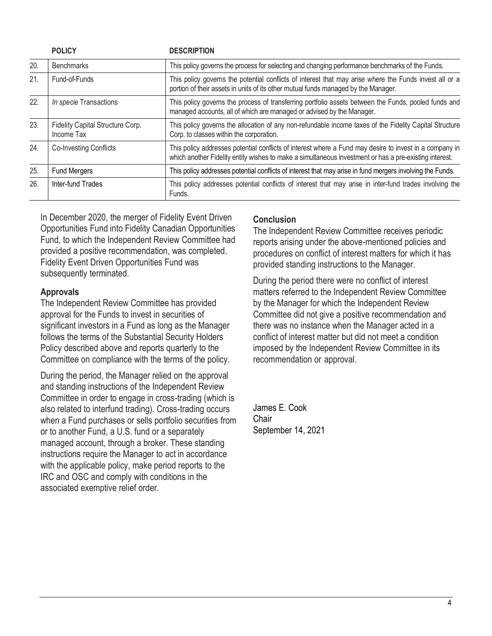|     | <b>POLICY</b>                                                                                                        | <b>DESCRIPTION</b>                                                                                                                                                                                                |  |
|-----|----------------------------------------------------------------------------------------------------------------------|-------------------------------------------------------------------------------------------------------------------------------------------------------------------------------------------------------------------|--|
| 20. | This policy governs the process for selecting and changing performance benchmarks of the Funds.<br><b>Benchmarks</b> |                                                                                                                                                                                                                   |  |
| 21. | Fund-of-Funds                                                                                                        | This policy governs the potential conflicts of interest that may arise where the Funds invest all or a<br>portion of their assets in units of its other mutual funds managed by the Manager.                      |  |
| 22. | In specie Transactions                                                                                               | This policy governs the process of transferring portfolio assets between the Funds, pooled funds and<br>managed accounts, all of which are managed or advised by the Manager.                                     |  |
| 23. | Fidelity Capital Structure Corp.<br>Income Tax                                                                       | This policy governs the allocation of any non-refundable income taxes of the Fidelity Capital Structure<br>Corp. to classes within the corporation.                                                               |  |
| 24. | <b>Co-Investing Conflicts</b>                                                                                        | This policy addresses potential conflicts of interest where a Fund may desire to invest in a company in<br>which another Fidelity entity wishes to make a simultaneous investment or has a pre-existing interest. |  |
| 25. | Fund Mergers                                                                                                         | This policy addresses potential conflicts of interest that may arise in fund mergers involving the Funds.                                                                                                         |  |
| 26. | Inter-fund Trades                                                                                                    | This policy addresses potential conflicts of interest that may arise in inter-fund trades involving the<br>Funds.                                                                                                 |  |

In December 2020, the merger of Fidelity Event Driven Opportunities Fund into Fidelity Canadian Opportunities Fund, to which the Independent Review Committee had provided a positive recommendation, was completed. Fidelity Event Driven Opportunities Fund was subsequently terminated.

### **Approvals**

The Independent Review Committee has provided approval for the Funds to invest in securities of significant investors in a Fund as long as the Manager follows the terms of the Substantial Security Holders Policy described above and reports quarterly to the Committee on compliance with the terms of the policy.

During the period, the Manager relied on the approval and standing instructions of the Independent Review Committee in order to engage in cross-trading (which is also related to interfund trading). Cross-trading occurs when a Fund purchases or sells portfolio securities from or to another Fund, a U.S. fund or a separately managed account, through a broker. These standing instructions require the Manager to act in accordance with the applicable policy, make period reports to the IRC and OSC and comply with conditions in the associated exemptive relief order.

## **Conclusion**

The Independent Review Committee receives periodic reports arising under the above-mentioned policies and procedures on conflict of interest matters for which it has provided standing instructions to the Manager.

During the period there were no conflict of interest matters referred to the Independent Review Committee by the Manager for which the Independent Review Committee did not give a positive recommendation and there was no instance when the Manager acted in a conflict of interest matter but did not meet a condition imposed by the Independent Review Committee in its recommendation or approval.

James E. Cook Chair September 14, 2021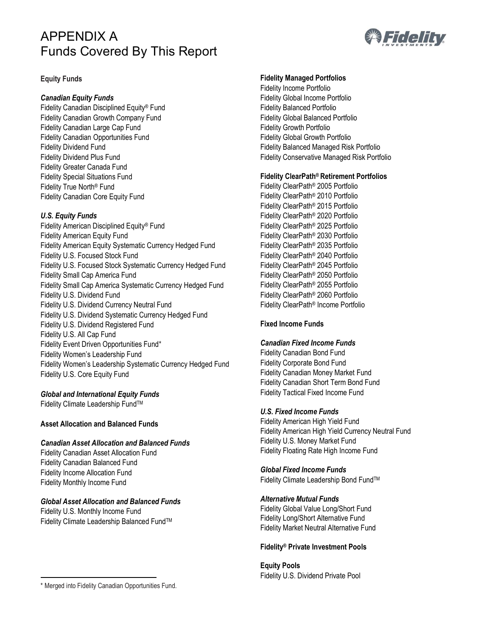# APPENDIX A Funds Covered By This Report



#### **Equity Funds**

#### *Canadian Equity Funds*

Fidelity Canadian Disciplined Equity® Fund Fidelity Canadian Growth Company Fund Fidelity Canadian Large Cap Fund Fidelity Canadian Opportunities Fund Fidelity Dividend Fund Fidelity Dividend Plus Fund Fidelity Greater Canada Fund Fidelity Special Situations Fund Fidelity True North® Fund Fidelity Canadian Core Equity Fund

#### *U.S. Equity Funds*

Fidelity American Disciplined Equity® Fund Fidelity American Equity Fund Fidelity American Equity Systematic Currency Hedged Fund Fidelity U.S. Focused Stock Fund Fidelity U.S. Focused Stock Systematic Currency Hedged Fund Fidelity Small Cap America Fund Fidelity Small Cap America Systematic Currency Hedged Fund Fidelity U.S. Dividend Fund Fidelity U.S. Dividend Currency Neutral Fund Fidelity U.S. Dividend Systematic Currency Hedged Fund Fidelity U.S. Dividend Registered Fund Fidelity U.S. All Cap Fund Fidelity Event Driven Opportunities Fund\* Fidelity Women's Leadership Fund Fidelity Women's Leadership Systematic Currency Hedged Fund Fidelity U.S. Core Equity Fund

#### *Global and International Equity Funds*

Fidelity Climate Leadership FundTM

#### **Asset Allocation and Balanced Funds**

#### *Canadian Asset Allocation and Balanced Funds*

Fidelity Canadian Asset Allocation Fund Fidelity Canadian Balanced Fund Fidelity Income Allocation Fund Fidelity Monthly Income Fund

#### *Global Asset Allocation and Balanced Funds*

Fidelity U.S. Monthly Income Fund Fidelity Climate Leadership Balanced Fund™

#### **Fidelity Managed Portfolios**

Fidelity Income Portfolio Fidelity Global Income Portfolio Fidelity Balanced Portfolio Fidelity Global Balanced Portfolio Fidelity Growth Portfolio Fidelity Global Growth Portfolio Fidelity Balanced Managed Risk Portfolio Fidelity Conservative Managed Risk Portfolio

#### **Fidelity ClearPath® Retirement Portfolios**

Fidelity ClearPath® 2005 Portfolio Fidelity ClearPath® 2010 Portfolio Fidelity ClearPath® 2015 Portfolio Fidelity ClearPath® 2020 Portfolio Fidelity ClearPath® 2025 Portfolio Fidelity ClearPath® 2030 Portfolio Fidelity ClearPath® 2035 Portfolio Fidelity ClearPath® 2040 Portfolio Fidelity ClearPath® 2045 Portfolio Fidelity ClearPath® 2050 Portfolio Fidelity ClearPath® 2055 Portfolio Fidelity ClearPath® 2060 Portfolio Fidelity ClearPath® Income Portfolio

#### **Fixed Income Funds**

#### *Canadian Fixed Income Funds*

Fidelity Canadian Bond Fund Fidelity Corporate Bond Fund Fidelity Canadian Money Market Fund Fidelity Canadian Short Term Bond Fund Fidelity Tactical Fixed Income Fund

#### *U.S. Fixed Income Funds*

Fidelity American High Yield Fund Fidelity American High Yield Currency Neutral Fund Fidelity U.S. Money Market Fund Fidelity Floating Rate High Income Fund

#### *Global Fixed Income Funds*

Fidelity Climate Leadership Bond FundTM

#### *Alternative Mutual Funds*

Fidelity Global Value Long/Short Fund Fidelity Long/Short Alternative Fund Fidelity Market Neutral Alternative Fund

#### **Fidelity® Private Investment Pools**

#### **Equity Pools**

Fidelity U.S. Dividend Private Pool

<sup>\*</sup> Merged into Fidelity Canadian Opportunities Fund.